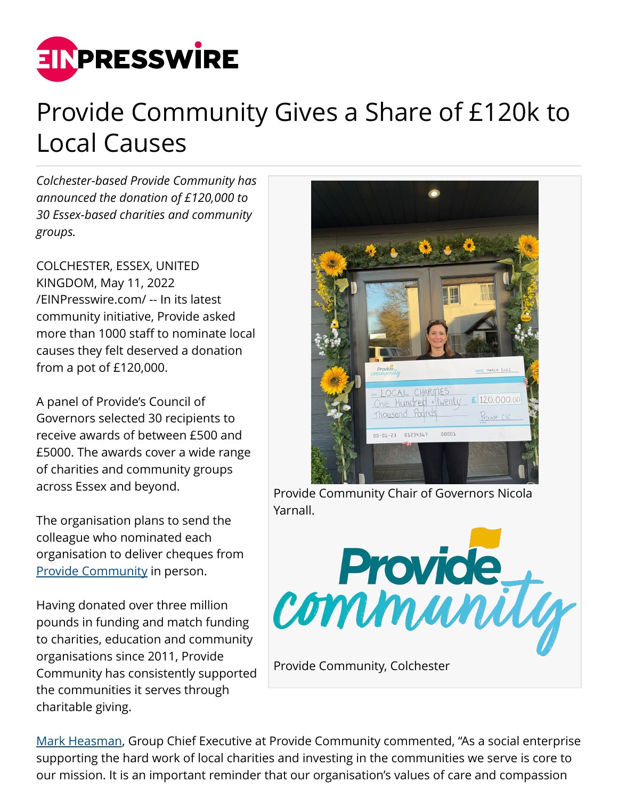

## Provide Community Gives a Share of £120k to Local Causes

*Colchester-based Provide Community has announced the donation of £120,000 to 30 Essex-based charities and community groups.*

COLCHESTER, ESSEX, UNITED KINGDOM, May 11, 2022 [/EINPresswire.com/](http://www.einpresswire.com) -- In its latest community initiative, Provide asked more than 1000 staff to nominate local causes they felt deserved a donation from a pot of £120,000.

A panel of Provide's Council of Governors selected 30 recipients to receive awards of between £500 and £5000. The awards cover a wide range of charities and community groups across Essex and beyond.

The organisation plans to send the colleague who nominated each organisation to deliver cheques from [Provide Community](https://www.provide.org.uk/) in person.

Having donated over three million pounds in funding and match funding to charities, education and community organisations since 2011, Provide Community has consistently supported the communities it serves through charitable giving.



Provide Community Chair of Governors Nicola Yarnall.



[Mark Heasman,](https://www.linkedin.com/in/d-mark-h-12b67240/) Group Chief Executive at Provide Community commented, "As a social enterprise supporting the hard work of local charities and investing in the communities we serve is core to our mission. It is an important reminder that our organisation's values of care and compassion